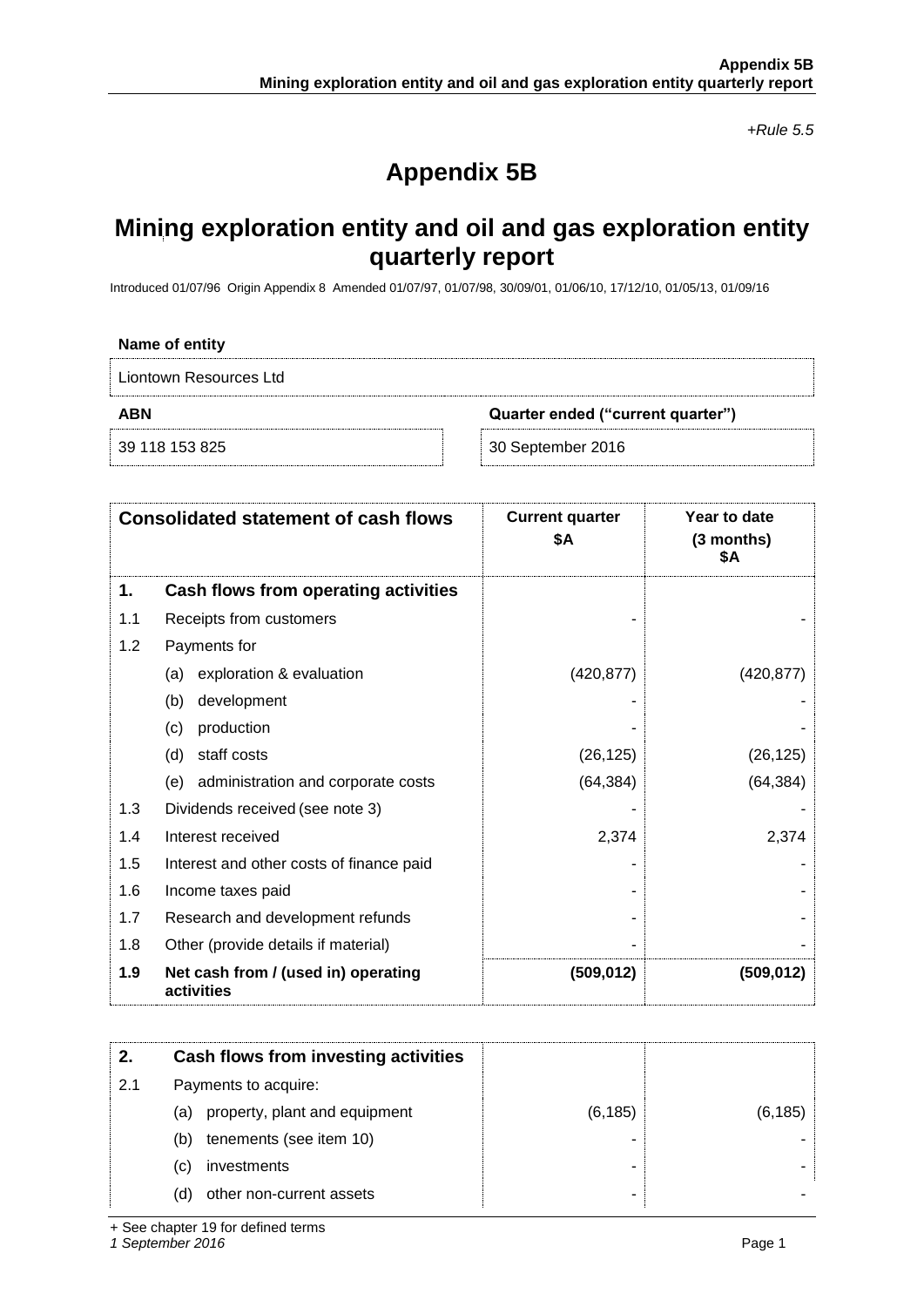*+Rule 5.5*

# **Appendix 5B**

## **Mining exploration entity and oil and gas exploration entity quarterly report**

Introduced 01/07/96 Origin Appendix 8 Amended 01/07/97, 01/07/98, 30/09/01, 01/06/10, 17/12/10, 01/05/13, 01/09/16

| Name of entity         |                                   |  |
|------------------------|-----------------------------------|--|
| Liontown Resources Ltd |                                   |  |
| <b>ABN</b>             | Quarter ended ("current quarter") |  |
| 39 118 153 825         | 30 September 2016                 |  |

|     | <b>Consolidated statement of cash flows</b>       | <b>Current quarter</b><br>\$Α | Year to date<br>$(3$ months)<br>\$Α |
|-----|---------------------------------------------------|-------------------------------|-------------------------------------|
| 1.  | Cash flows from operating activities              |                               |                                     |
| 1.1 | Receipts from customers                           |                               |                                     |
| 1.2 | Payments for                                      |                               |                                     |
|     | exploration & evaluation<br>(a)                   | (420, 877)                    | (420, 877)                          |
|     | development<br>(b)                                |                               |                                     |
|     | production<br>(c)                                 |                               |                                     |
|     | staff costs<br>(d)                                | (26, 125)                     | (26, 125)                           |
|     | (e) administration and corporate costs            | (64, 384)                     | (64, 384)                           |
| 1.3 | Dividends received (see note 3)                   |                               |                                     |
| 1.4 | Interest received                                 | 2,374                         | 2,374                               |
| 1.5 | Interest and other costs of finance paid          |                               |                                     |
| 1.6 | Income taxes paid                                 |                               |                                     |
| 1.7 | Research and development refunds                  |                               |                                     |
| 1.8 | Other (provide details if material)               |                               |                                     |
| 1.9 | Net cash from / (used in) operating<br>activities | (509, 012)                    | (509, 012)                          |

| 2.  | Cash flows from investing activities |          |          |
|-----|--------------------------------------|----------|----------|
| 2.1 | Payments to acquire:                 |          |          |
|     | property, plant and equipment<br>(a) | (6, 185) | (6, 185) |
|     | tenements (see item 10)<br>(b)       |          |          |
|     | investments<br>(C)                   |          |          |
|     | other non-current assets<br>(d)      |          |          |

+ See chapter 19 for defined terms

*1 September 2016* Page 1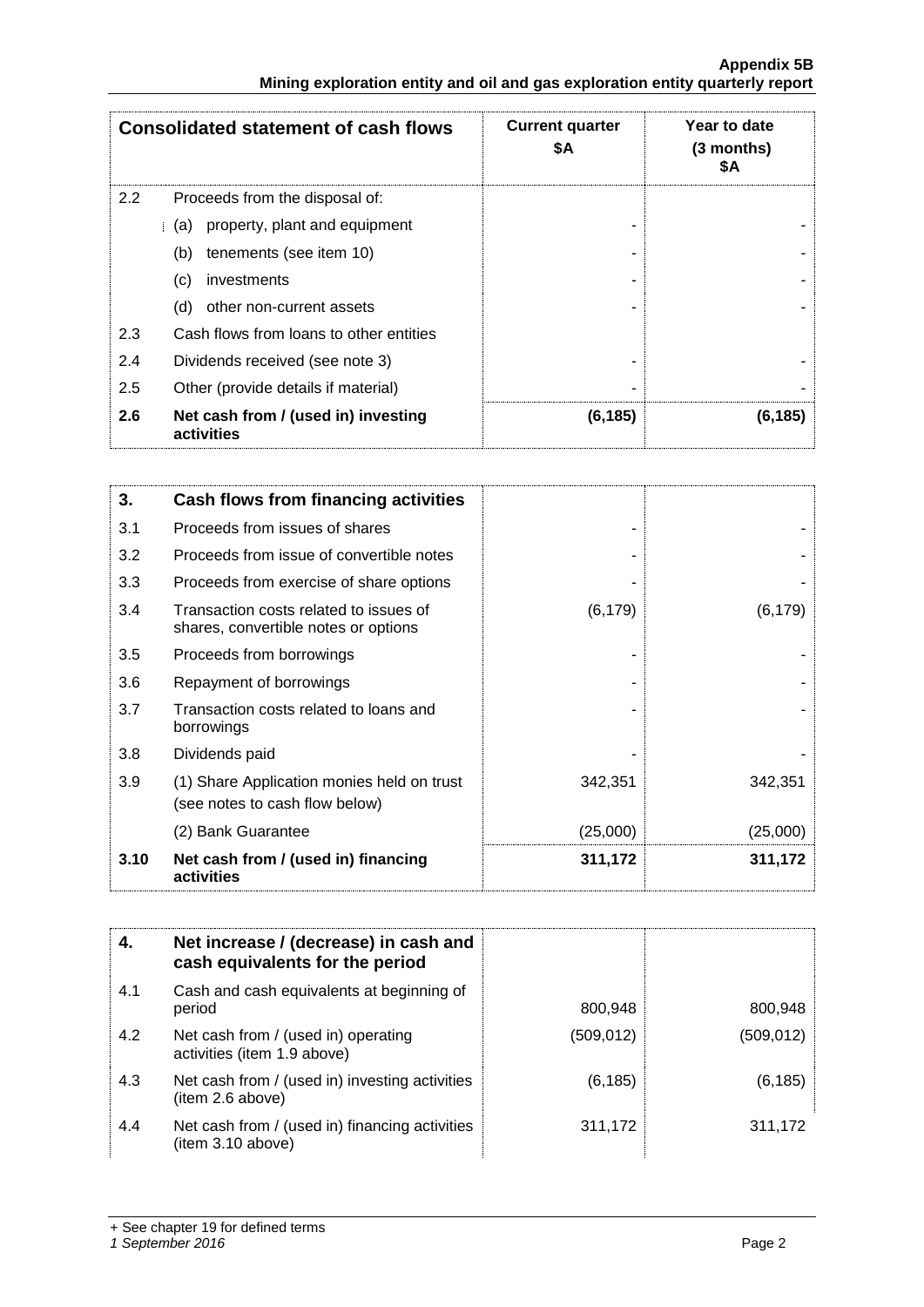|                                                                               | <b>Appendix 5B</b> |
|-------------------------------------------------------------------------------|--------------------|
| Mining exploration entity and oil and gas exploration entity quarterly report |                    |

|     | <b>Consolidated statement of cash flows</b>       | <b>Current quarter</b><br>\$Α | Year to date<br>$(3$ months)<br>SΑ |
|-----|---------------------------------------------------|-------------------------------|------------------------------------|
| 2.2 | Proceeds from the disposal of:                    |                               |                                    |
|     | property, plant and equipment<br>(a)              |                               |                                    |
|     | tenements (see item 10)<br>(b)                    |                               |                                    |
|     | investments<br>(c)                                |                               |                                    |
|     | other non-current assets<br>(d)                   |                               |                                    |
| 2.3 | Cash flows from loans to other entities           |                               |                                    |
| 2.4 | Dividends received (see note 3)                   |                               |                                    |
| 2.5 | Other (provide details if material)               |                               |                                    |
| 2.6 | Net cash from / (used in) investing<br>activities | (6, 185)                      | (6, 185)                           |

| 3.   | Cash flows from financing activities                                           |          |          |
|------|--------------------------------------------------------------------------------|----------|----------|
| 3.1  | Proceeds from issues of shares                                                 |          |          |
| 3.2  | Proceeds from issue of convertible notes                                       |          |          |
| 3.3  | Proceeds from exercise of share options                                        |          |          |
| 3.4  | Transaction costs related to issues of<br>shares, convertible notes or options | (6, 179) | (6, 179) |
| 3.5  | Proceeds from borrowings                                                       |          |          |
| 3.6  | Repayment of borrowings                                                        |          |          |
| 3.7  | Transaction costs related to loans and<br>borrowings                           |          |          |
| 3.8  | Dividends paid                                                                 |          |          |
| 3.9  | (1) Share Application monies held on trust<br>(see notes to cash flow below)   | 342,351  | 342,351  |
|      | (2) Bank Guarantee                                                             | (25,000) | (25,000) |
| 3.10 | Net cash from / (used in) financing<br>activities                              | 311,172  | 311,172  |

| 4.  | Net increase / (decrease) in cash and<br>cash equivalents for the period |            |            |
|-----|--------------------------------------------------------------------------|------------|------------|
| 4.1 | Cash and cash equivalents at beginning of<br>period                      | 800,948    | 800,948    |
| 4.2 | Net cash from / (used in) operating<br>activities (item 1.9 above)       | (509, 012) | (509, 012) |
| 4.3 | Net cash from / (used in) investing activities<br>(item 2.6 above)       | (6, 185)   | (6, 185)   |
| 4.4 | Net cash from / (used in) financing activities<br>(item 3.10 above)      | 311,172    | 311,172    |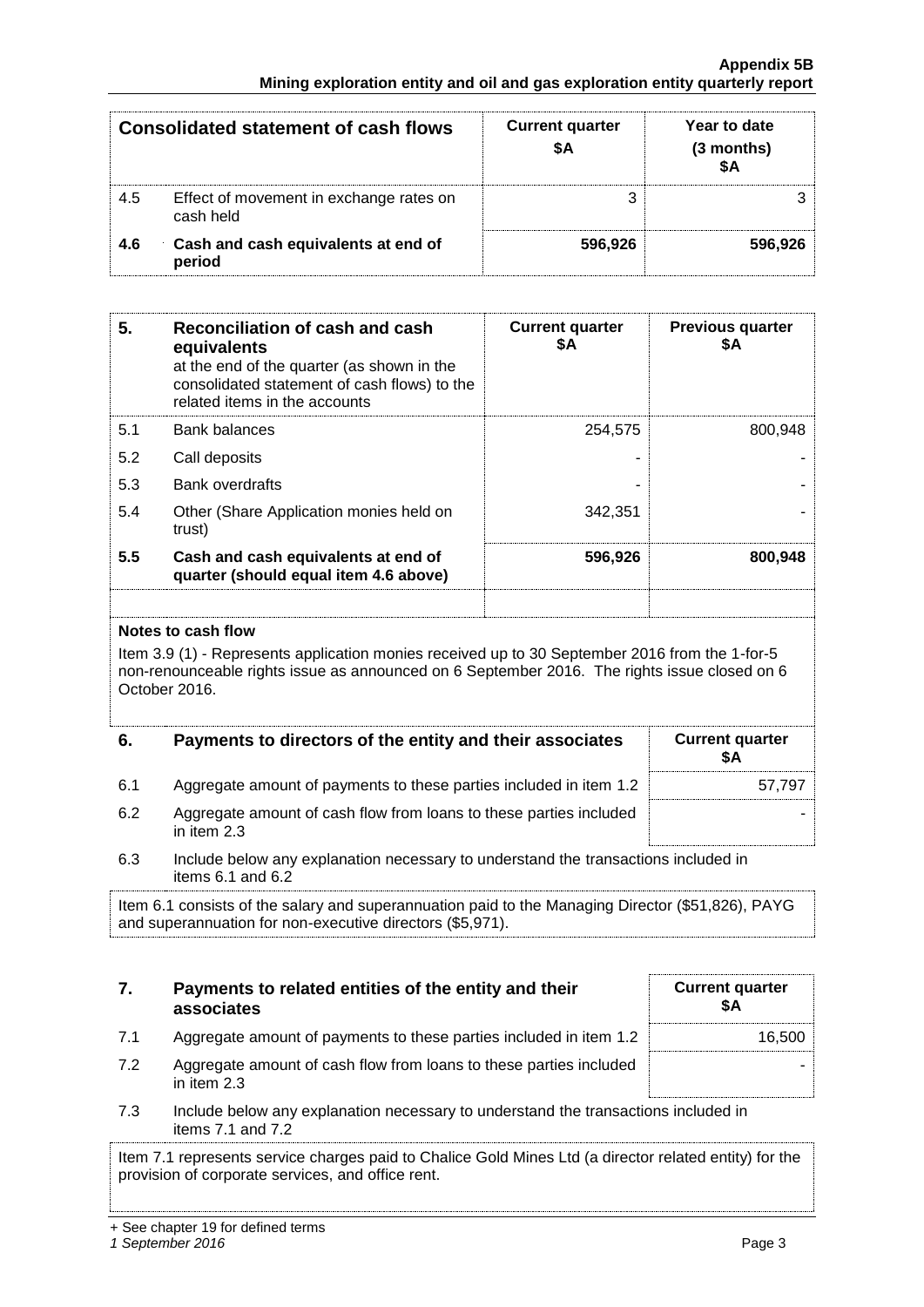#### **Appendix 5B Mining exploration entity and oil and gas exploration entity quarterly report**

|     | <b>Consolidated statement of cash flows</b>          | <b>Current quarter</b> | Year to date<br>(3 months) |
|-----|------------------------------------------------------|------------------------|----------------------------|
| 4.5 | Effect of movement in exchange rates on<br>cash held |                        |                            |
| 4.6 | Cash and cash equivalents at end of<br>period        | 596.926                | 596.926                    |

| 5.  | Reconciliation of cash and cash<br>equivalents<br>at the end of the quarter (as shown in the<br>consolidated statement of cash flows) to the<br>related items in the accounts | <b>Current quarter</b><br>\$A | <b>Previous quarter</b><br>\$Α |
|-----|-------------------------------------------------------------------------------------------------------------------------------------------------------------------------------|-------------------------------|--------------------------------|
| 5.1 | Bank balances                                                                                                                                                                 | 254,575                       | 800,948                        |
| 5.2 | Call deposits                                                                                                                                                                 |                               |                                |
| 5.3 | <b>Bank overdrafts</b>                                                                                                                                                        |                               |                                |
| 5.4 | Other (Share Application monies held on<br>trust)                                                                                                                             | 342,351                       |                                |
| 5.5 | Cash and cash equivalents at end of<br>quarter (should equal item 4.6 above)                                                                                                  | 596,926                       | 800.948                        |
|     |                                                                                                                                                                               |                               |                                |

#### **Notes to cash flow**

Item 3.9 (1) - Represents application monies received up to 30 September 2016 from the 1-for-5 non-renounceable rights issue as announced on 6 September 2016. The rights issue closed on 6 October 2016.

| 6.  | Payments to directors of the entity and their associates                          | <b>Current quarter</b> |
|-----|-----------------------------------------------------------------------------------|------------------------|
| 6.1 | Aggregate amount of payments to these parties included in item 1.2                | 57.797                 |
| 6.2 | Aggregate amount of cash flow from loans to these parties included<br>in item 2.3 |                        |

6.3 Include below any explanation necessary to understand the transactions included in items 6.1 and 6.2

Item 6.1 consists of the salary and superannuation paid to the Managing Director (\$51,826), PAYG and superannuation for non-executive directors (\$5,971).

### **7. Payments to related entities of the entity and their associates**

| <b>Current quarter</b><br>\$Α |  |
|-------------------------------|--|
| 16,500                        |  |
|                               |  |

- 7.1 Aggregate amount of payments to these parties included in item 1.2
- 7.2 Aggregate amount of cash flow from loans to these parties included in item 2.3
- 7.3 Include below any explanation necessary to understand the transactions included in items 7.1 and 7.2

Item 7.1 represents service charges paid to Chalice Gold Mines Ltd (a director related entity) for the provision of corporate services, and office rent.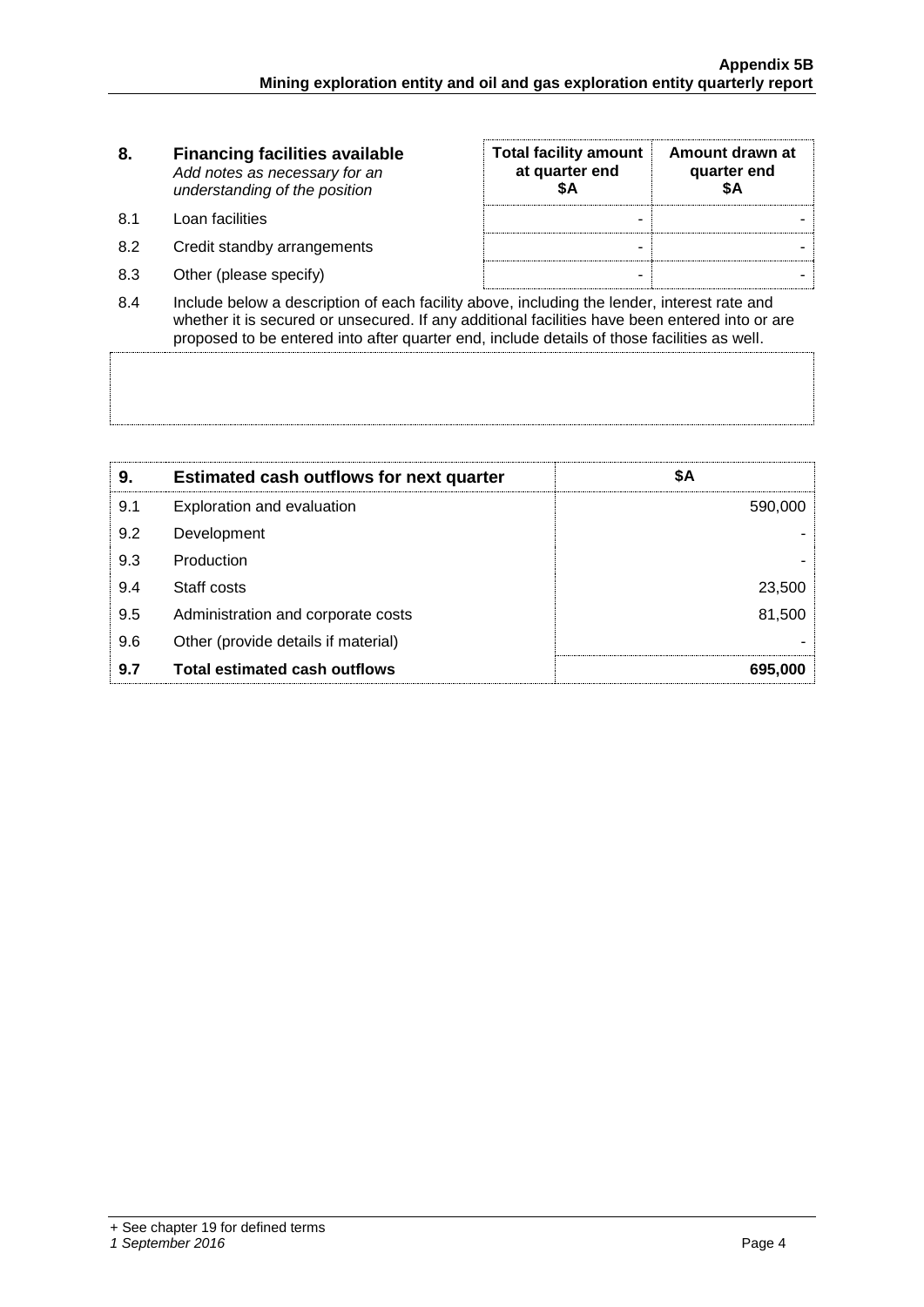| 8.  | <b>Financing facilities available</b><br>Add notes as necessary for an<br>understanding of the position | <b>Total facility amount</b><br>at quarter end<br>SΑ | Amount drawn at<br>quarter end<br>SΑ |
|-----|---------------------------------------------------------------------------------------------------------|------------------------------------------------------|--------------------------------------|
| 8.1 | Loan facilities                                                                                         | -                                                    |                                      |
| 8.2 | Credit standby arrangements                                                                             | ۰                                                    |                                      |
| 8.3 | Other (please specify)                                                                                  | ۰                                                    |                                      |
| 8.4 | Include below a description of each facility above, including the lender, interest rate and             |                                                      |                                      |

8.4 Include below a description of each facility above, including the lender, interest rate and whether it is secured or unsecured. If any additional facilities have been entered into or are proposed to be entered into after quarter end, include details of those facilities as well.

| 9.  | <b>Estimated cash outflows for next quarter</b> | \$Α     |
|-----|-------------------------------------------------|---------|
| 9.1 | Exploration and evaluation                      | 590,000 |
| 9.2 | Development                                     |         |
| 9.3 | Production                                      |         |
| 9.4 | Staff costs                                     | 23,500  |
| 9.5 | Administration and corporate costs              | 81,500  |
| 9.6 | Other (provide details if material)             |         |
| 9.7 | <b>Total estimated cash outflows</b>            | 695,000 |